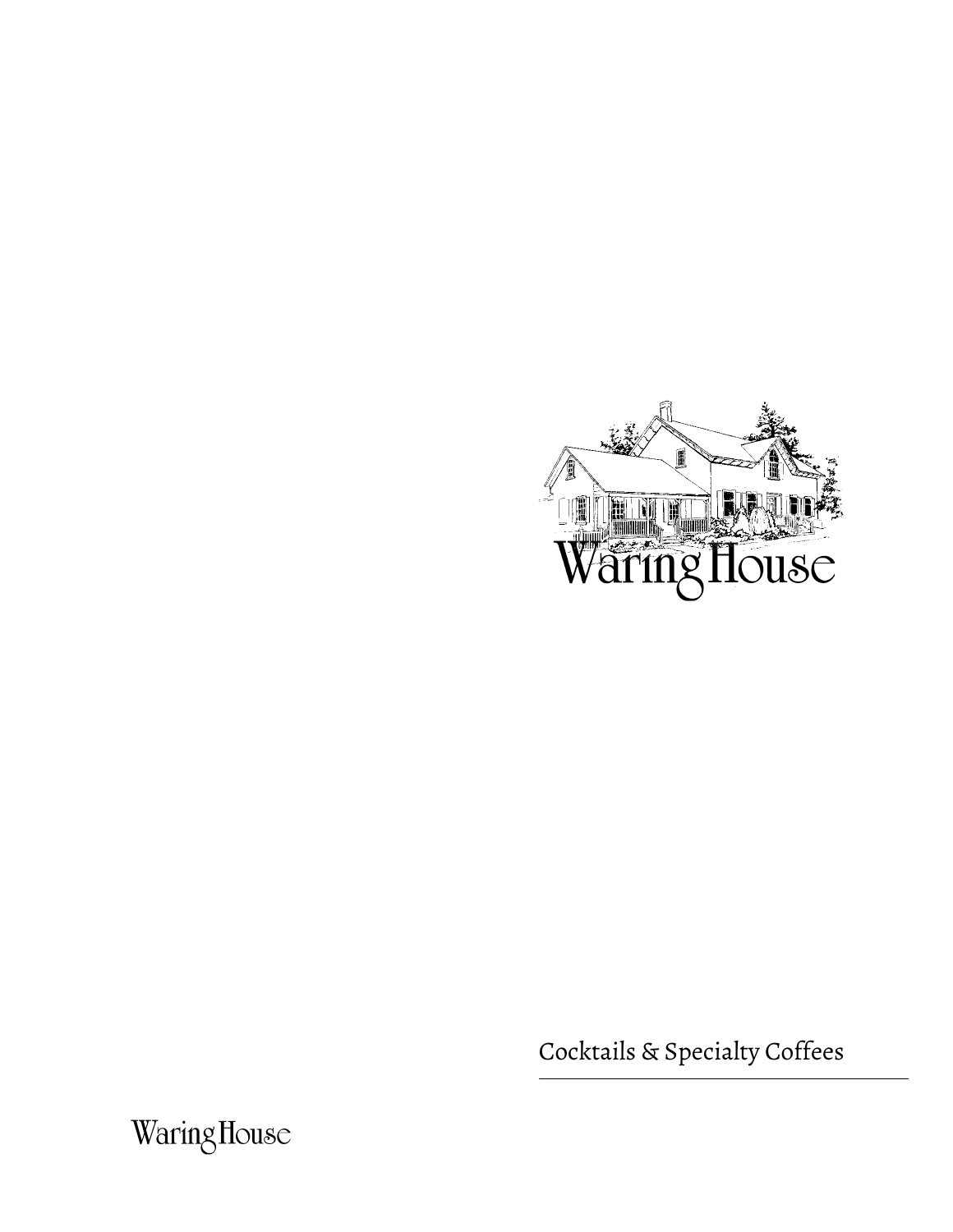

Cocktails & Specialty Coffees

WaringHouse